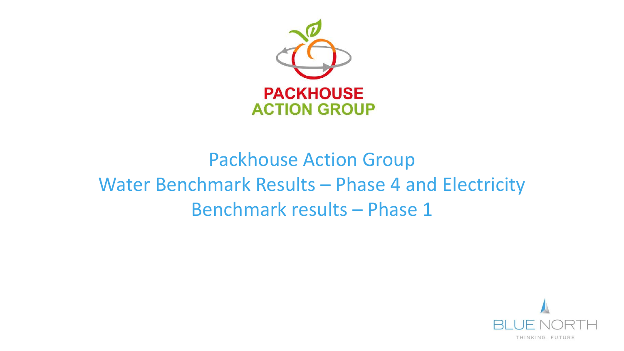

# Packhouse Action Group Water Benchmark Results – Phase 4 and Electricity Benchmark results – Phase 1

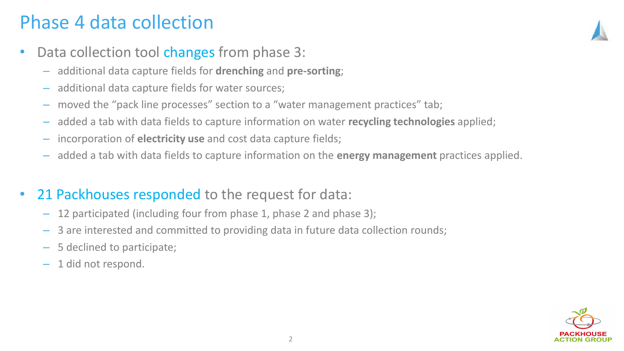### Phase 4 data collection

- Data collection tool changes from phase 3:
	- additional data capture fields for **drenching** and **pre-sorting**;
	- additional data capture fields for water sources;
	- moved the "pack line processes" section to a "water management practices" tab;
	- added a tab with data fields to capture information on water **recycling technologies** applied;
	- incorporation of **electricity use** and cost data capture fields;
	- added a tab with data fields to capture information on the **energy management** practices applied.
- 21 Packhouses responded to the request for data:
	- 12 participated (including four from phase 1, phase 2 and phase 3);
	- 3 are interested and committed to providing data in future data collection rounds;
	- 5 declined to participate;
	- 1 did not respond.

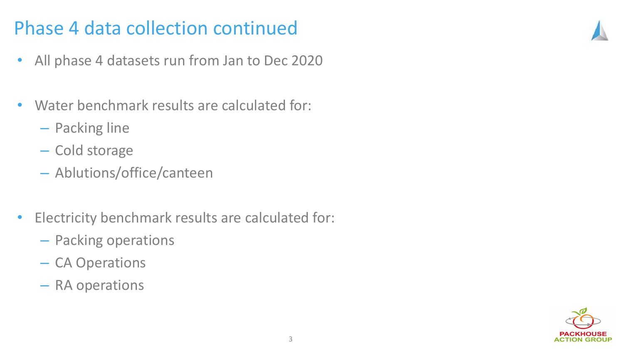## Phase 4 data collection continued

- All phase 4 datasets run from Jan to Dec 2020
- Water benchmark results are calculated for:
	- Packing line
	- Cold storage
	- Ablutions/office/canteen
- Electricity benchmark results are calculated for:
	- Packing operations
	- CA Operations
	- RA operations

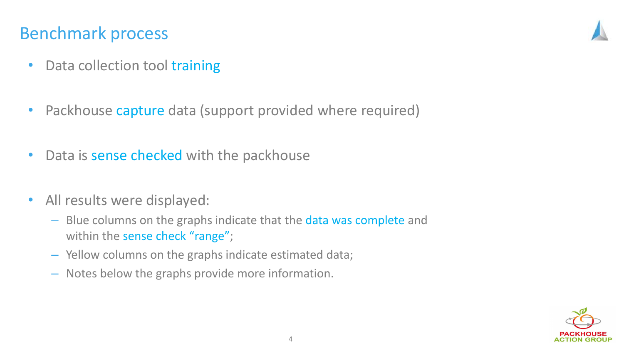#### Benchmark process

- Data collection tool training
- Packhouse capture data (support provided where required)
- Data is sense checked with the packhouse
- All results were displayed:
	- Blue columns on the graphs indicate that the data was complete and within the sense check "range";
	- Yellow columns on the graphs indicate estimated data;
	- Notes below the graphs provide more information.

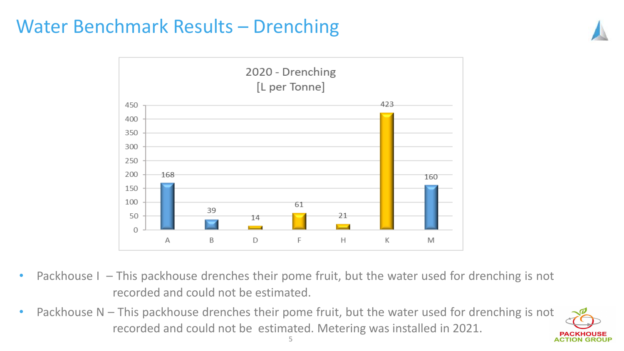## Water Benchmark Results – Drenching



- Packhouse I This packhouse drenches their pome fruit, but the water used for drenching is not recorded and could not be estimated.
- Packhouse N This packhouse drenches their pome fruit, but the water used for drenching is not recorded and could not be estimated. Metering was installed in 2021.

**ACTION GROUP**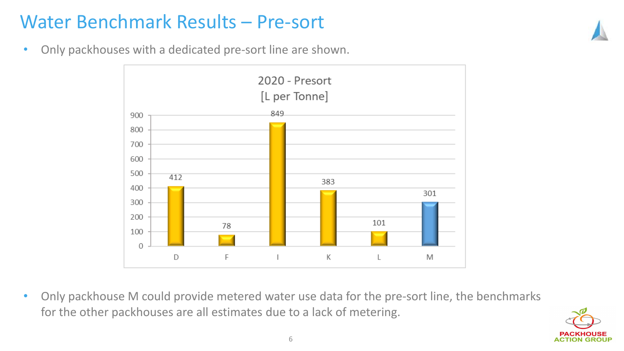# Water Benchmark Results – Pre-sort

• Only packhouses with a dedicated pre-sort line are shown.



• Only packhouse M could provide metered water use data for the pre-sort line, the benchmarks for the other packhouses are all estimates due to a lack of metering.

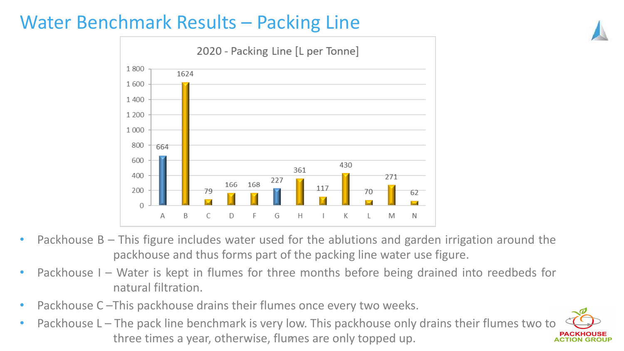# Water Benchmark Results – Packing Line



- Packhouse B This figure includes water used for the ablutions and garden irrigation around the packhouse and thus forms part of the packing line water use figure.
- Packhouse I Water is kept in flumes for three months before being drained into reedbeds for natural filtration.
- Packhouse C This packhouse drains their flumes once every two weeks.
- Packhouse L The pack line benchmark is very low. This packhouse only drains their flumes two to three times a year, otherwise, flumes are only topped up.

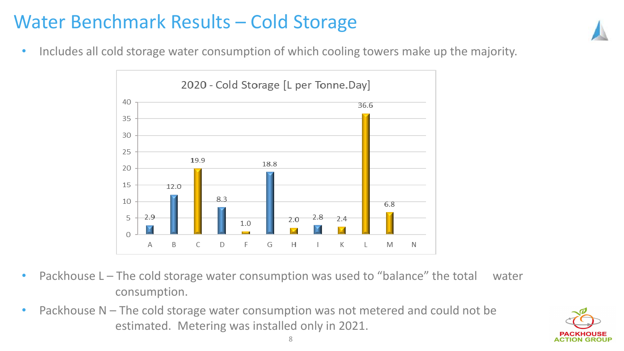# Water Benchmark Results – Cold Storage



• Includes all cold storage water consumption of which cooling towers make up the majority.



- Packhouse L The cold storage water consumption was used to "balance" the total water consumption.
- Packhouse N The cold storage water consumption was not metered and could not be estimated. Metering was installed only in 2021.

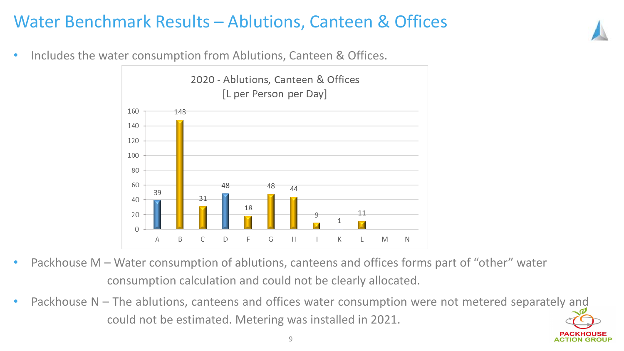#### Water Benchmark Results – Ablutions, Canteen & Offices

Includes the water consumption from Ablutions, Canteen & Offices.



- Packhouse M Water consumption of ablutions, canteens and offices forms part of "other" water consumption calculation and could not be clearly allocated.
- Packhouse N The ablutions, canteens and offices water consumption were not metered separately and could not be estimated. Metering was installed in 2021.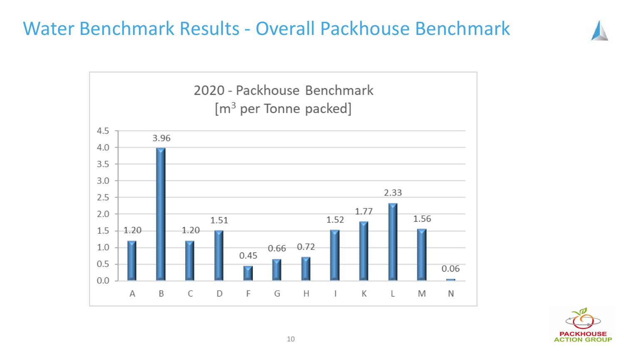### Water Benchmark Results - Overall Packhouse Benchmark



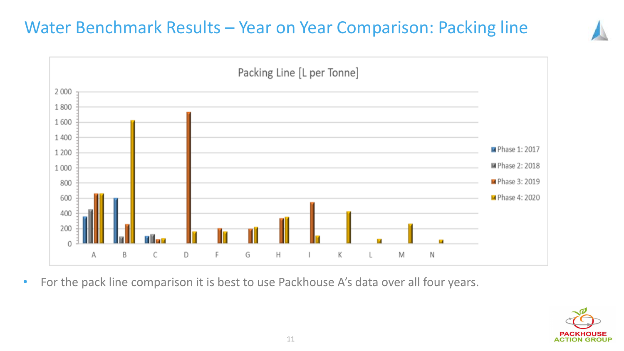#### Water Benchmark Results – Year on Year Comparison: Packing line



• For the pack line comparison it is best to use Packhouse A's data over all four years.

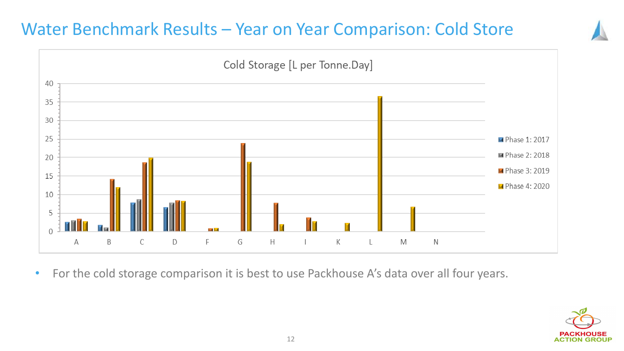#### Water Benchmark Results – Year on Year Comparison: Cold Store



• For the cold storage comparison it is best to use Packhouse A's data over all four years.

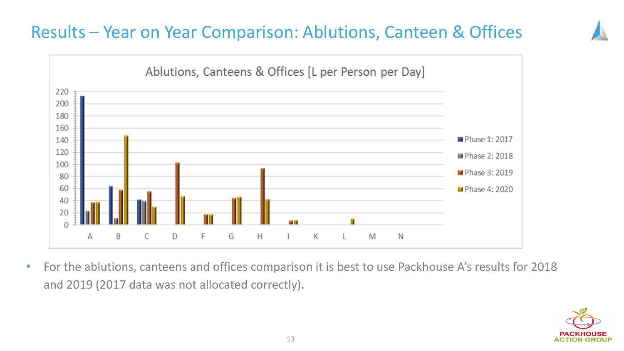#### Results – Year on Year Comparison: Ablutions, Canteen & Offices



• For the ablutions, canteens and offices comparison it is best to use Packhouse A's results for 2018 and 2019 (2017 data was not allocated correctly).

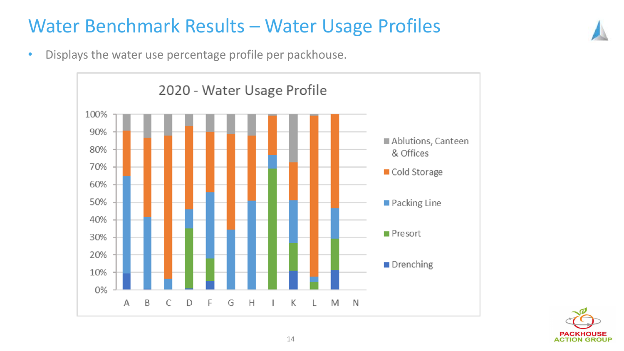## Water Benchmark Results – Water Usage Profiles

• Displays the water use percentage profile per packhouse.



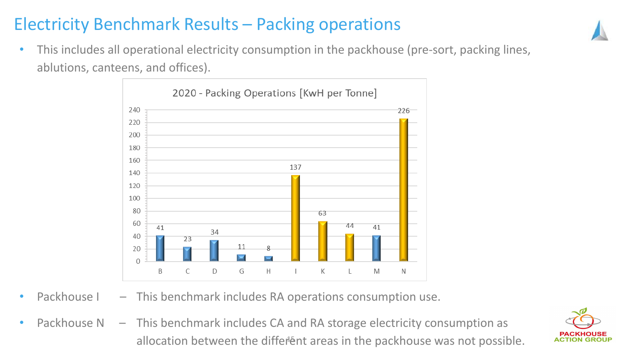### Electricity Benchmark Results – Packing operations

• This includes all operational electricity consumption in the packhouse (pre-sort, packing lines, ablutions, canteens, and offices).



- Packhouse I This benchmark includes RA operations consumption use.
- allocation between the different areas in the packhouse was not possible. Packhouse  $N - I$ his benchmark includes CA and RA storage electricity consumption as

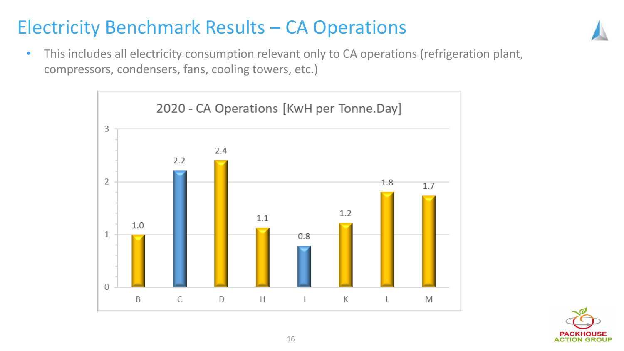# Electricity Benchmark Results – CA Operations

• This includes all electricity consumption relevant only to CA operations (refrigeration plant, compressors, condensers, fans, cooling towers, etc.)



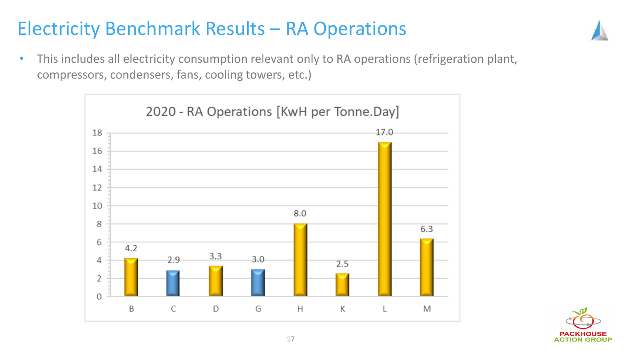# Electricity Benchmark Results – RA Operations

• This includes all electricity consumption relevant only to RA operations (refrigeration plant, compressors, condensers, fans, cooling towers, etc.)



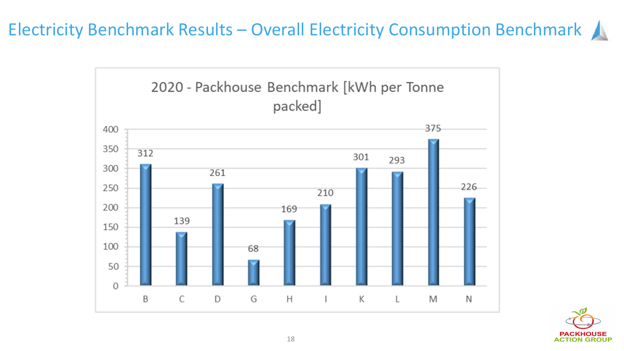Electricity Benchmark Results – Overall Electricity Consumption Benchmark



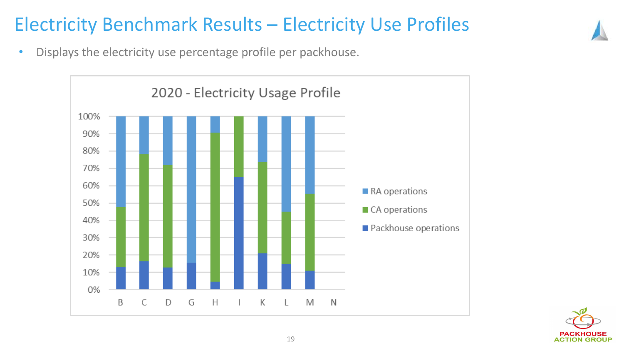## Electricity Benchmark Results – Electricity Use Profiles

• Displays the electricity use percentage profile per packhouse.



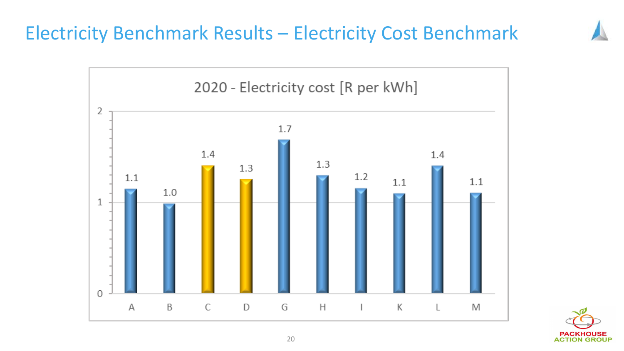## Electricity Benchmark Results – Electricity Cost Benchmark



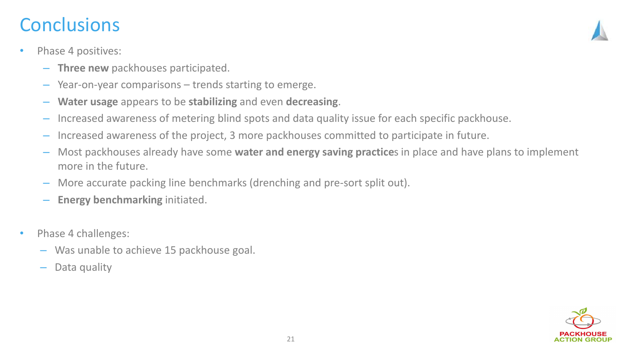### **Conclusions**

- Phase 4 positives:
	- **Three new** packhouses participated.
	- Year-on-year comparisons trends starting to emerge.
	- **Water usage** appears to be **stabilizing** and even **decreasing**.
	- Increased awareness of metering blind spots and data quality issue for each specific packhouse.
	- Increased awareness of the project, 3 more packhouses committed to participate in future.
	- Most packhouses already have some **water and energy saving practice**s in place and have plans to implement more in the future.
	- More accurate packing line benchmarks (drenching and pre-sort split out).
	- **Energy benchmarking** initiated.
- Phase 4 challenges:
	- Was unable to achieve 15 packhouse goal.
	- Data quality